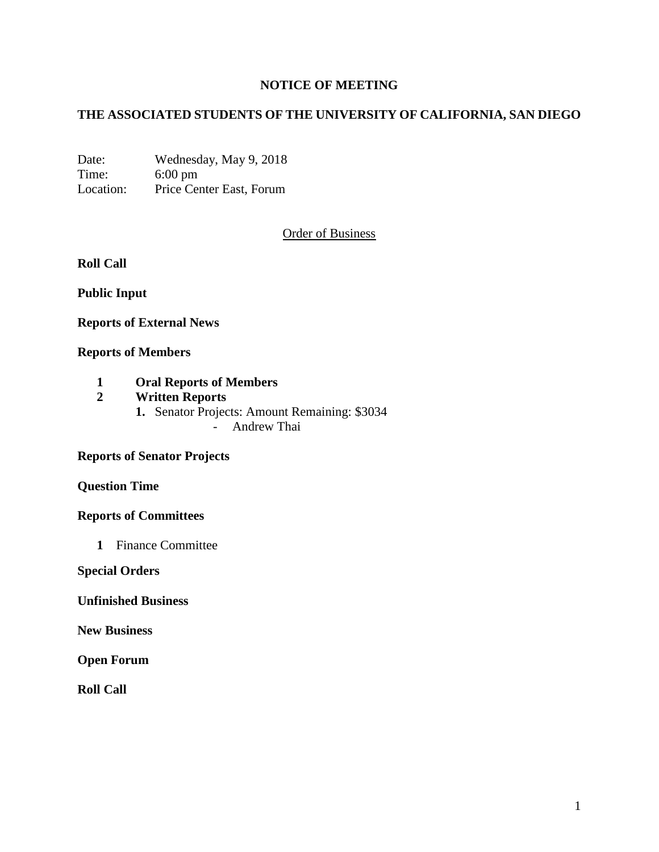# **NOTICE OF MEETING**

# **THE ASSOCIATED STUDENTS OF THE UNIVERSITY OF CALIFORNIA, SAN DIEGO**

Date: Wednesday, May 9, 2018 Time: 6:00 pm Location: Price Center East, Forum

## Order of Business

**Roll Call**

**Public Input**

**Reports of External News**

## **Reports of Members**

- **1 Oral Reports of Members**
- **2 Written Reports**
	- **1.** Senator Projects: Amount Remaining: \$3034
		- Andrew Thai

#### **Reports of Senator Projects**

**Question Time**

#### **Reports of Committees**

**1** Finance Committee

**Special Orders**

#### **Unfinished Business**

**New Business**

**Open Forum**

**Roll Call**